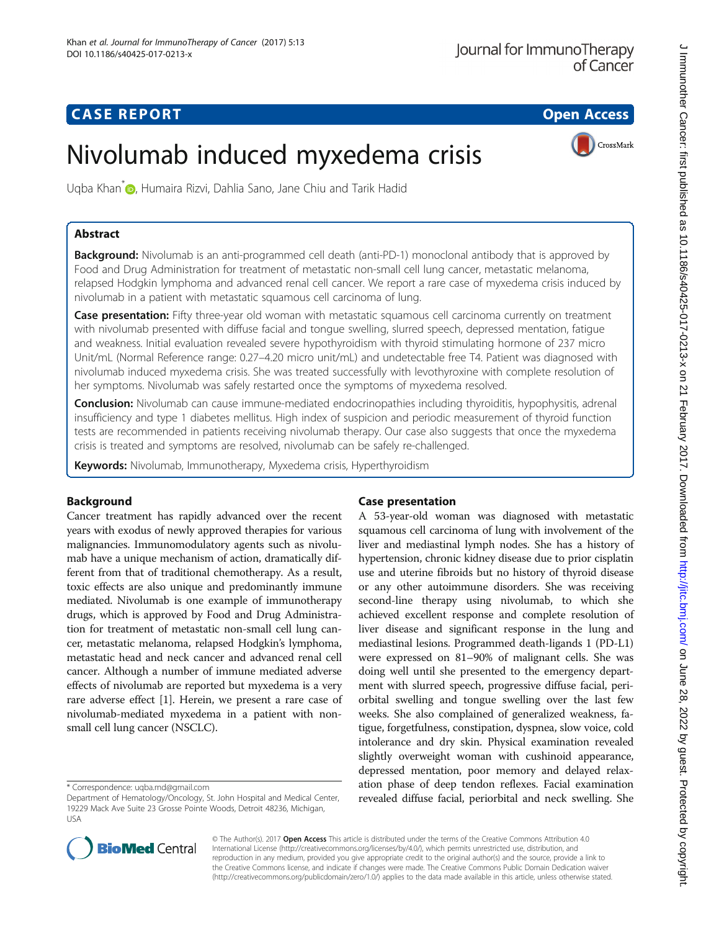## **CASE REPORT CASE REPORT CASE REPORT**

CrossMark

# Nivolumab induced myxedema crisis

Ugba Khan<sup>[\\*](http://orcid.org/0000-0002-4740-2256)</sup> , Humaira Rizvi, Dahlia Sano, Jane Chiu and Tarik Hadid

## Abstract

**Background:** Nivolumab is an anti-programmed cell death (anti-PD-1) monoclonal antibody that is approved by Food and Drug Administration for treatment of metastatic non-small cell lung cancer, metastatic melanoma, relapsed Hodgkin lymphoma and advanced renal cell cancer. We report a rare case of myxedema crisis induced by nivolumab in a patient with metastatic squamous cell carcinoma of lung.

Case presentation: Fifty three-year old woman with metastatic squamous cell carcinoma currently on treatment with nivolumab presented with diffuse facial and tongue swelling, slurred speech, depressed mentation, fatigue and weakness. Initial evaluation revealed severe hypothyroidism with thyroid stimulating hormone of 237 micro Unit/mL (Normal Reference range: 0.27–4.20 micro unit/mL) and undetectable free T4. Patient was diagnosed with nivolumab induced myxedema crisis. She was treated successfully with levothyroxine with complete resolution of her symptoms. Nivolumab was safely restarted once the symptoms of myxedema resolved.

Conclusion: Nivolumab can cause immune-mediated endocrinopathies including thyroiditis, hypophysitis, adrenal insufficiency and type 1 diabetes mellitus. High index of suspicion and periodic measurement of thyroid function tests are recommended in patients receiving nivolumab therapy. Our case also suggests that once the myxedema crisis is treated and symptoms are resolved, nivolumab can be safely re-challenged.

Keywords: Nivolumab, Immunotherapy, Myxedema crisis, Hyperthyroidism

## Background

Cancer treatment has rapidly advanced over the recent years with exodus of newly approved therapies for various malignancies. Immunomodulatory agents such as nivolumab have a unique mechanism of action, dramatically different from that of traditional chemotherapy. As a result, toxic effects are also unique and predominantly immune mediated. Nivolumab is one example of immunotherapy drugs, which is approved by Food and Drug Administration for treatment of metastatic non-small cell lung cancer, metastatic melanoma, relapsed Hodgkin's lymphoma, metastatic head and neck cancer and advanced renal cell cancer. Although a number of immune mediated adverse effects of nivolumab are reported but myxedema is a very rare adverse effect [[1](#page-2-0)]. Herein, we present a rare case of nivolumab-mediated myxedema in a patient with nonsmall cell lung cancer (NSCLC).

## Case presentation

A 53-year-old woman was diagnosed with metastatic squamous cell carcinoma of lung with involvement of the liver and mediastinal lymph nodes. She has a history of hypertension, chronic kidney disease due to prior cisplatin use and uterine fibroids but no history of thyroid disease or any other autoimmune disorders. She was receiving second-line therapy using nivolumab, to which she achieved excellent response and complete resolution of liver disease and significant response in the lung and mediastinal lesions. Programmed death-ligands 1 (PD-L1) were expressed on 81–90% of malignant cells. She was doing well until she presented to the emergency department with slurred speech, progressive diffuse facial, periorbital swelling and tongue swelling over the last few weeks. She also complained of generalized weakness, fatigue, forgetfulness, constipation, dyspnea, slow voice, cold intolerance and dry skin. Physical examination revealed slightly overweight woman with cushinoid appearance, depressed mentation, poor memory and delayed relaxation phase of deep tendon reflexes. Facial examination revealed diffuse facial, periorbital and neck swelling. She



© The Author(s). 2017 **Open Access** This article is distributed under the terms of the Creative Commons Attribution 4.0 International License [\(http://creativecommons.org/licenses/by/4.0/](http://creativecommons.org/licenses/by/4.0/)), which permits unrestricted use, distribution, and reproduction in any medium, provided you give appropriate credit to the original author(s) and the source, provide a link to the Creative Commons license, and indicate if changes were made. The Creative Commons Public Domain Dedication waiver [\(http://creativecommons.org/publicdomain/zero/1.0/](http://creativecommons.org/publicdomain/zero/1.0/)) applies to the data made available in this article, unless otherwise stated.

<sup>\*</sup> Correspondence: [uqba.md@gmail.com](mailto:uqba.md@gmail.com)

Department of Hematology/Oncology, St. John Hospital and Medical Center, 19229 Mack Ave Suite 23 Grosse Pointe Woods, Detroit 48236, Michigan, USA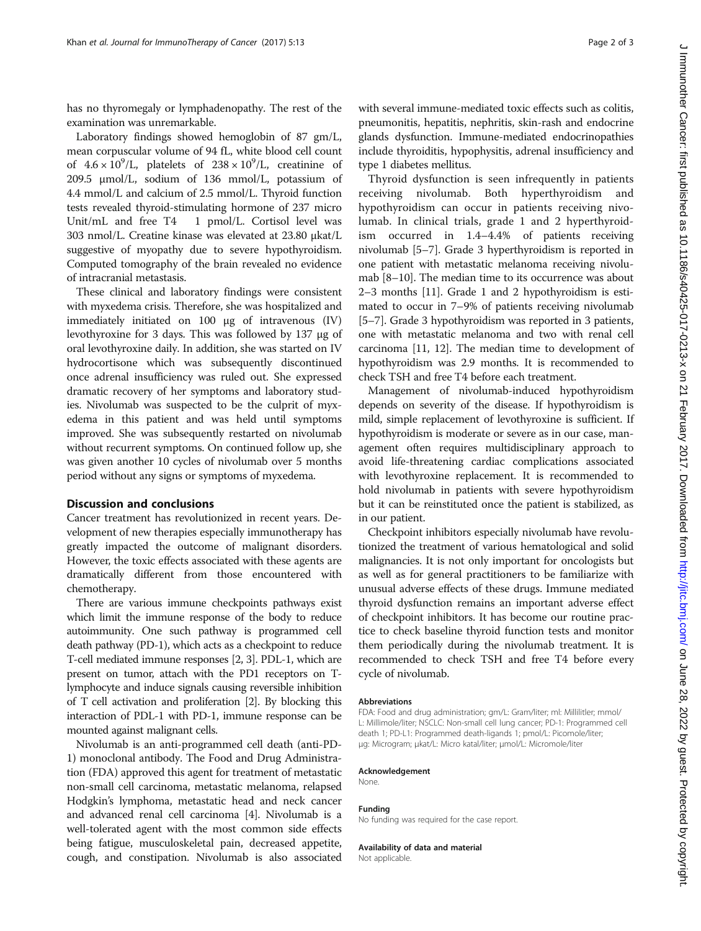has no thyromegaly or lymphadenopathy. The rest of the examination was unremarkable.

Laboratory findings showed hemoglobin of 87 gm/L, mean corpuscular volume of 94 fL, white blood cell count of  $4.6 \times 10^9$ /L, platelets of  $238 \times 10^9$ /L, creatinine of 209.5 μmol/L, sodium of 136 mmol/L, potassium of 4.4 mmol/L and calcium of 2.5 mmol/L. Thyroid function tests revealed thyroid-stimulating hormone of 237 micro Unit/mL and free T4 1 pmol/L. Cortisol level was 303 nmol/L. Creatine kinase was elevated at 23.80 μkat/L suggestive of myopathy due to severe hypothyroidism. Computed tomography of the brain revealed no evidence of intracranial metastasis.

These clinical and laboratory findings were consistent with myxedema crisis. Therefore, she was hospitalized and immediately initiated on 100 μg of intravenous (IV) levothyroxine for 3 days. This was followed by 137 μg of oral levothyroxine daily. In addition, she was started on IV hydrocortisone which was subsequently discontinued once adrenal insufficiency was ruled out. She expressed dramatic recovery of her symptoms and laboratory studies. Nivolumab was suspected to be the culprit of myxedema in this patient and was held until symptoms improved. She was subsequently restarted on nivolumab without recurrent symptoms. On continued follow up, she was given another 10 cycles of nivolumab over 5 months period without any signs or symptoms of myxedema.

#### Discussion and conclusions

Cancer treatment has revolutionized in recent years. Development of new therapies especially immunotherapy has greatly impacted the outcome of malignant disorders. However, the toxic effects associated with these agents are dramatically different from those encountered with chemotherapy.

There are various immune checkpoints pathways exist which limit the immune response of the body to reduce autoimmunity. One such pathway is programmed cell death pathway (PD-1), which acts as a checkpoint to reduce T-cell mediated immune responses [\[2, 3](#page-2-0)]. PDL-1, which are present on tumor, attach with the PD1 receptors on Tlymphocyte and induce signals causing reversible inhibition of T cell activation and proliferation [\[2\]](#page-2-0). By blocking this interaction of PDL-1 with PD-1, immune response can be mounted against malignant cells.

Nivolumab is an anti-programmed cell death (anti-PD-1) monoclonal antibody. The Food and Drug Administration (FDA) approved this agent for treatment of metastatic non-small cell carcinoma, metastatic melanoma, relapsed Hodgkin's lymphoma, metastatic head and neck cancer and advanced renal cell carcinoma [\[4](#page-2-0)]. Nivolumab is a well-tolerated agent with the most common side effects being fatigue, musculoskeletal pain, decreased appetite, cough, and constipation. Nivolumab is also associated

with several immune-mediated toxic effects such as colitis, pneumonitis, hepatitis, nephritis, skin-rash and endocrine glands dysfunction. Immune-mediated endocrinopathies include thyroiditis, hypophysitis, adrenal insufficiency and type 1 diabetes mellitus.

Thyroid dysfunction is seen infrequently in patients receiving nivolumab. Both hyperthyroidism and hypothyroidism can occur in patients receiving nivolumab. In clinical trials, grade 1 and 2 hyperthyroidism occurred in 1.4–4.4% of patients receiving nivolumab [[5](#page-2-0)–[7](#page-2-0)]. Grade 3 hyperthyroidism is reported in one patient with metastatic melanoma receiving nivolumab [\[8](#page-2-0)–[10](#page-2-0)]. The median time to its occurrence was about 2–3 months [[11](#page-2-0)]. Grade 1 and 2 hypothyroidism is estimated to occur in 7–9% of patients receiving nivolumab [[5](#page-2-0)–[7](#page-2-0)]. Grade 3 hypothyroidism was reported in 3 patients, one with metastatic melanoma and two with renal cell carcinoma [\[11](#page-2-0), [12\]](#page-2-0). The median time to development of hypothyroidism was 2.9 months. It is recommended to check TSH and free T4 before each treatment.

Management of nivolumab-induced hypothyroidism depends on severity of the disease. If hypothyroidism is mild, simple replacement of levothyroxine is sufficient. If hypothyroidism is moderate or severe as in our case, management often requires multidisciplinary approach to avoid life-threatening cardiac complications associated with levothyroxine replacement. It is recommended to hold nivolumab in patients with severe hypothyroidism but it can be reinstituted once the patient is stabilized, as in our patient.

Checkpoint inhibitors especially nivolumab have revolutionized the treatment of various hematological and solid malignancies. It is not only important for oncologists but as well as for general practitioners to be familiarize with unusual adverse effects of these drugs. Immune mediated thyroid dysfunction remains an important adverse effect of checkpoint inhibitors. It has become our routine practice to check baseline thyroid function tests and monitor them periodically during the nivolumab treatment. It is recommended to check TSH and free T4 before every cycle of nivolumab.

#### Abbreviations

FDA: Food and drug administration; gm/L: Gram/liter; ml: Millilitler; mmol/ L: Millimole/liter; NSCLC: Non-small cell lung cancer; PD-1: Programmed cell death 1; PD-L1: Programmed death-ligands 1; pmol/L: Picomole/liter; μg: Microgram; μkat/L: Micro katal/liter; μmol/L: Micromole/liter

#### Acknowledgement

None.

#### Funding

No funding was required for the case report.

Availability of data and material

Not applicable.